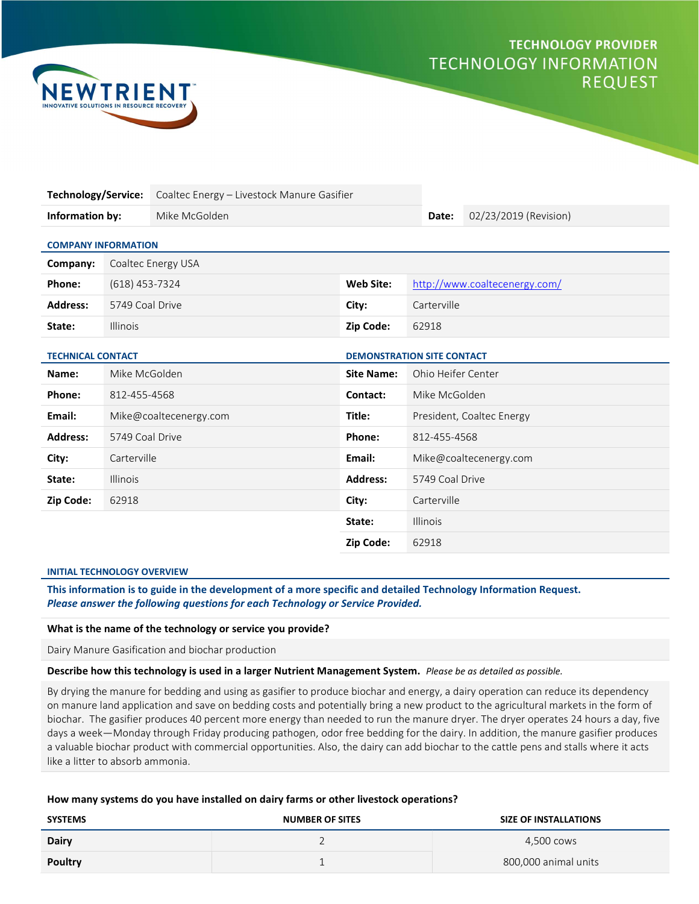# **TECHNOLOGY PROVIDER TECHNOLOGY INFORMATION REQUEST**



| <b>Technology/Service:</b>                                    |                    | Coaltec Energy - Livestock Manure Gasifier |                   |                               |                           |
|---------------------------------------------------------------|--------------------|--------------------------------------------|-------------------|-------------------------------|---------------------------|
| Information by:                                               |                    | Mike McGolden                              |                   | Date:                         | 02/23/2019 (Revision)     |
| <b>COMPANY INFORMATION</b>                                    |                    |                                            |                   |                               |                           |
| Company:                                                      | Coaltec Energy USA |                                            |                   |                               |                           |
| Phone:                                                        | $(618)$ 453-7324   |                                            | <b>Web Site:</b>  | http://www.coaltecenergy.com/ |                           |
| <b>Address:</b>                                               | 5749 Coal Drive    |                                            | City:             | Carterville                   |                           |
| State:                                                        | <b>Illinois</b>    |                                            | <b>Zip Code:</b>  | 62918                         |                           |
| <b>TECHNICAL CONTACT</b><br><b>DEMONSTRATION SITE CONTACT</b> |                    |                                            |                   |                               |                           |
| Name:                                                         | Mike McGolden      |                                            | <b>Site Name:</b> | Ohio Heifer Center            |                           |
| Phone:                                                        | 812-455-4568       |                                            | Contact:          | Mike McGolden                 |                           |
| Email:                                                        |                    | Mike@coaltecenergy.com                     | Title:            |                               | President, Coaltec Energy |
| <b>Address:</b>                                               | 5749 Coal Drive    |                                            | Phone:            | 812-455-4568                  |                           |

State: Illinois Zip Code: 62918

#### INITIAL TECHNOLOGY OVERVIEW

This information is to guide in the development of a more specific and detailed Technology Information Request. Please answer the following questions for each Technology or Service Provided.

**City:** Carterville Carterville Carterville City: Email: Mike@coaltecenergy.com

State: Illinois **Address:** 5749 Coal Drive

**Zip Code:** 62918 **City:** Carterville

## What is the name of the technology or service you provide?

Dairy Manure Gasification and biochar production

Describe how this technology is used in a larger Nutrient Management System. Please be as detailed as possible.

By drying the manure for bedding and using as gasifier to produce biochar and energy, a dairy operation can reduce its dependency on manure land application and save on bedding costs and potentially bring a new product to the agricultural markets in the form of biochar. The gasifier produces 40 percent more energy than needed to run the manure dryer. The dryer operates 24 hours a day, five days a week—Monday through Friday producing pathogen, odor free bedding for the dairy. In addition, the manure gasifier produces a valuable biochar product with commercial opportunities. Also, the dairy can add biochar to the cattle pens and stalls where it acts like a litter to absorb ammonia.

#### How many systems do you have installed on dairy farms or other livestock operations?

| <b>SYSTEMS</b> | <b>NUMBER OF SITES</b> | <b>SIZE OF INSTALLATIONS</b> |
|----------------|------------------------|------------------------------|
| <b>Dairy</b>   |                        | 4.500 cows                   |
| Poultry        |                        | 800,000 animal units         |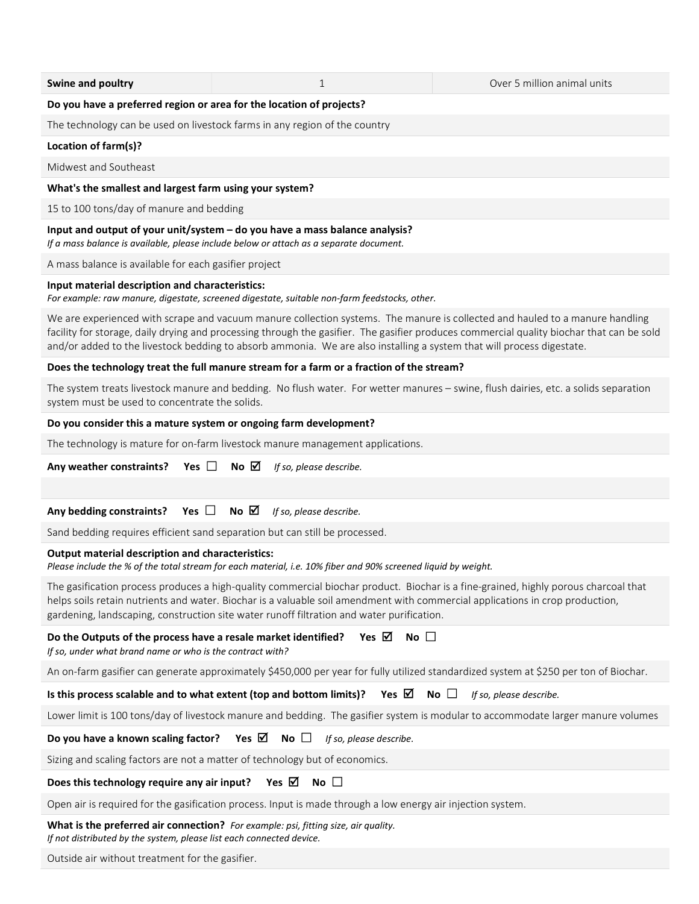| Swine and poultry                                                                                                           | 1                                                                                                                                                                                                                                                                                                                                                                 | Over 5 million animal units                                                                                                               |
|-----------------------------------------------------------------------------------------------------------------------------|-------------------------------------------------------------------------------------------------------------------------------------------------------------------------------------------------------------------------------------------------------------------------------------------------------------------------------------------------------------------|-------------------------------------------------------------------------------------------------------------------------------------------|
| Do you have a preferred region or area for the location of projects?                                                        |                                                                                                                                                                                                                                                                                                                                                                   |                                                                                                                                           |
|                                                                                                                             | The technology can be used on livestock farms in any region of the country                                                                                                                                                                                                                                                                                        |                                                                                                                                           |
| Location of farm(s)?                                                                                                        |                                                                                                                                                                                                                                                                                                                                                                   |                                                                                                                                           |
| Midwest and Southeast                                                                                                       |                                                                                                                                                                                                                                                                                                                                                                   |                                                                                                                                           |
| What's the smallest and largest farm using your system?                                                                     |                                                                                                                                                                                                                                                                                                                                                                   |                                                                                                                                           |
| 15 to 100 tons/day of manure and bedding                                                                                    |                                                                                                                                                                                                                                                                                                                                                                   |                                                                                                                                           |
|                                                                                                                             | Input and output of your unit/system - do you have a mass balance analysis?<br>If a mass balance is available, please include below or attach as a separate document.                                                                                                                                                                                             |                                                                                                                                           |
| A mass balance is available for each gasifier project                                                                       |                                                                                                                                                                                                                                                                                                                                                                   |                                                                                                                                           |
| Input material description and characteristics:                                                                             | For example: raw manure, digestate, screened digestate, suitable non-farm feedstocks, other.                                                                                                                                                                                                                                                                      |                                                                                                                                           |
|                                                                                                                             | We are experienced with scrape and vacuum manure collection systems. The manure is collected and hauled to a manure handling<br>and/or added to the livestock bedding to absorb ammonia. We are also installing a system that will process digestate.                                                                                                             | facility for storage, daily drying and processing through the gasifier. The gasifier produces commercial quality biochar that can be sold |
|                                                                                                                             | Does the technology treat the full manure stream for a farm or a fraction of the stream?                                                                                                                                                                                                                                                                          |                                                                                                                                           |
| system must be used to concentrate the solids.                                                                              | The system treats livestock manure and bedding. No flush water. For wetter manures - swine, flush dairies, etc. a solids separation                                                                                                                                                                                                                               |                                                                                                                                           |
| Do you consider this a mature system or ongoing farm development?                                                           |                                                                                                                                                                                                                                                                                                                                                                   |                                                                                                                                           |
|                                                                                                                             | The technology is mature for on-farm livestock manure management applications.                                                                                                                                                                                                                                                                                    |                                                                                                                                           |
| Yes $\Box$<br>Any weather constraints?                                                                                      | No $\boxtimes$<br>If so, please describe.                                                                                                                                                                                                                                                                                                                         |                                                                                                                                           |
|                                                                                                                             |                                                                                                                                                                                                                                                                                                                                                                   |                                                                                                                                           |
| Yes $\Box$<br>Any bedding constraints?                                                                                      | No $\boxtimes$<br>If so, please describe.                                                                                                                                                                                                                                                                                                                         |                                                                                                                                           |
|                                                                                                                             | Sand bedding requires efficient sand separation but can still be processed.                                                                                                                                                                                                                                                                                       |                                                                                                                                           |
| <b>Output material description and characteristics:</b>                                                                     | Please include the % of the total stream for each material, i.e. 10% fiber and 90% screened liquid by weight.                                                                                                                                                                                                                                                     |                                                                                                                                           |
|                                                                                                                             | The gasification process produces a high-quality commercial biochar product. Biochar is a fine-grained, highly porous charcoal that<br>helps soils retain nutrients and water. Biochar is a valuable soil amendment with commercial applications in crop production,<br>gardening, landscaping, construction site water runoff filtration and water purification. |                                                                                                                                           |
| Do the Outputs of the process have a resale market identified?<br>If so, under what brand name or who is the contract with? | Yes $\boxtimes$<br>No $\square$                                                                                                                                                                                                                                                                                                                                   |                                                                                                                                           |
|                                                                                                                             | An on-farm gasifier can generate approximately \$450,000 per year for fully utilized standardized system at \$250 per ton of Biochar.                                                                                                                                                                                                                             |                                                                                                                                           |
| Is this process scalable and to what extent (top and bottom limits)?                                                        | Yes $\boxtimes$                                                                                                                                                                                                                                                                                                                                                   | $No$ $\Box$<br>If so, please describe.                                                                                                    |
|                                                                                                                             |                                                                                                                                                                                                                                                                                                                                                                   | Lower limit is 100 tons/day of livestock manure and bedding. The gasifier system is modular to accommodate larger manure volumes          |
| Do you have a known scaling factor?                                                                                         | Yes $\boxtimes$<br>No $\Box$<br>If so, please describe.                                                                                                                                                                                                                                                                                                           |                                                                                                                                           |
|                                                                                                                             | Sizing and scaling factors are not a matter of technology but of economics.                                                                                                                                                                                                                                                                                       |                                                                                                                                           |
| Does this technology require any air input?                                                                                 | No $\square$<br>Yes $\boxtimes$                                                                                                                                                                                                                                                                                                                                   |                                                                                                                                           |

Open air is required for the gasification process. Input is made through a low energy air injection system.

What is the preferred air connection? For example: psi, fitting size, air quality. If not distributed by the system, please list each connected device.

Outside air without treatment for the gasifier.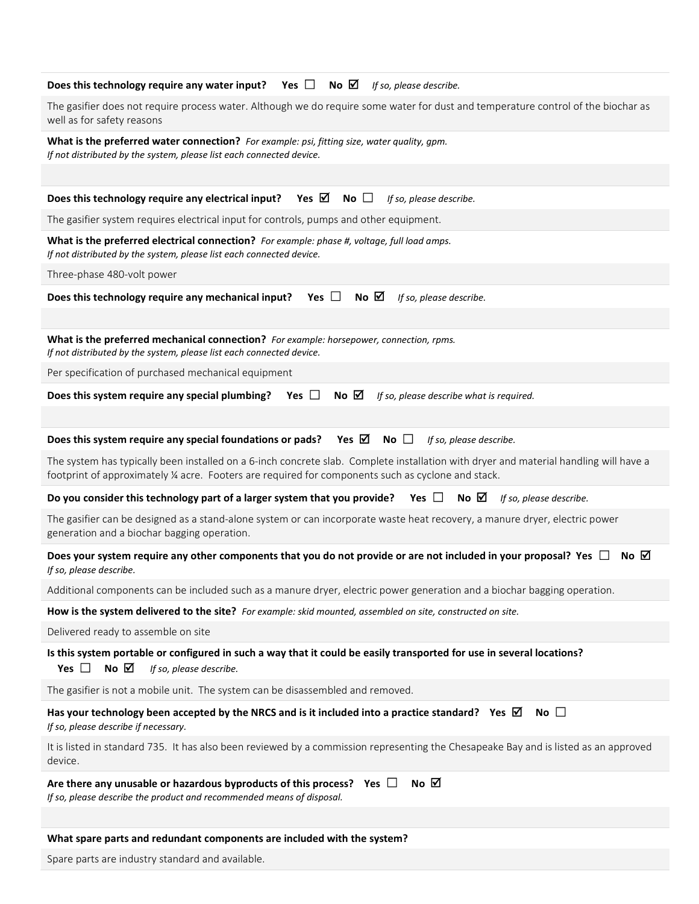| Does this technology require any water input? Yes $\Box$ No $\Box$ If so, please describe.                                                                                                                                                 |
|--------------------------------------------------------------------------------------------------------------------------------------------------------------------------------------------------------------------------------------------|
| The gasifier does not require process water. Although we do require some water for dust and temperature control of the biochar as<br>well as for safety reasons                                                                            |
| What is the preferred water connection? For example: psi, fitting size, water quality, gpm.<br>If not distributed by the system, please list each connected device.                                                                        |
|                                                                                                                                                                                                                                            |
| Does this technology require any electrical input?<br>Yes ⊠<br>No $\Box$<br>If so, please describe.                                                                                                                                        |
| The gasifier system requires electrical input for controls, pumps and other equipment.                                                                                                                                                     |
| What is the preferred electrical connection? For example: phase #, voltage, full load amps.<br>If not distributed by the system, please list each connected device.                                                                        |
| Three-phase 480-volt power                                                                                                                                                                                                                 |
| Does this technology require any mechanical input? Yes $\Box$ No $\boxtimes$<br>If so, please describe.                                                                                                                                    |
|                                                                                                                                                                                                                                            |
| What is the preferred mechanical connection? For example: horsepower, connection, rpms.<br>If not distributed by the system, please list each connected device.                                                                            |
| Per specification of purchased mechanical equipment                                                                                                                                                                                        |
| No $\boxtimes$<br>Does this system require any special plumbing? Yes $\Box$<br>If so, please describe what is required.                                                                                                                    |
|                                                                                                                                                                                                                                            |
| Does this system require any special foundations or pads? Yes $\boxtimes$<br>No $\Box$<br>If so, please describe.                                                                                                                          |
| The system has typically been installed on a 6-inch concrete slab. Complete installation with dryer and material handling will have a<br>footprint of approximately ¼ acre. Footers are required for components such as cyclone and stack. |
| Do you consider this technology part of a larger system that you provide? Yes $\Box$<br>No $\boxtimes$<br>If so, please describe.                                                                                                          |
| The gasifier can be designed as a stand-alone system or can incorporate waste heat recovery, a manure dryer, electric power<br>generation and a biochar bagging operation.                                                                 |
| Does your system require any other components that you do not provide or are not included in your proposal? Yes $\Box$<br>No $\boxtimes$<br>If so, please describe.                                                                        |
| Additional components can be included such as a manure dryer, electric power generation and a biochar bagging operation.                                                                                                                   |
| How is the system delivered to the site? For example: skid mounted, assembled on site, constructed on site.                                                                                                                                |
| Delivered ready to assemble on site                                                                                                                                                                                                        |
| Is this system portable or configured in such a way that it could be easily transported for use in several locations?<br>No $\boxtimes$<br>Yes $\Box$<br>If so, please describe.                                                           |
| The gasifier is not a mobile unit. The system can be disassembled and removed.                                                                                                                                                             |
| Has your technology been accepted by the NRCS and is it included into a practice standard? Yes $\boxtimes$<br>$No$ $\Box$<br>If so, please describe if necessary.                                                                          |
| It is listed in standard 735. It has also been reviewed by a commission representing the Chesapeake Bay and is listed as an approved<br>device.                                                                                            |
| No $\boxtimes$<br>Are there any unusable or hazardous byproducts of this process? Yes $\Box$<br>If so, please describe the product and recommended means of disposal.                                                                      |
|                                                                                                                                                                                                                                            |
| What spare parts and redundant components are included with the system?                                                                                                                                                                    |
| Spare parts are industry standard and available.                                                                                                                                                                                           |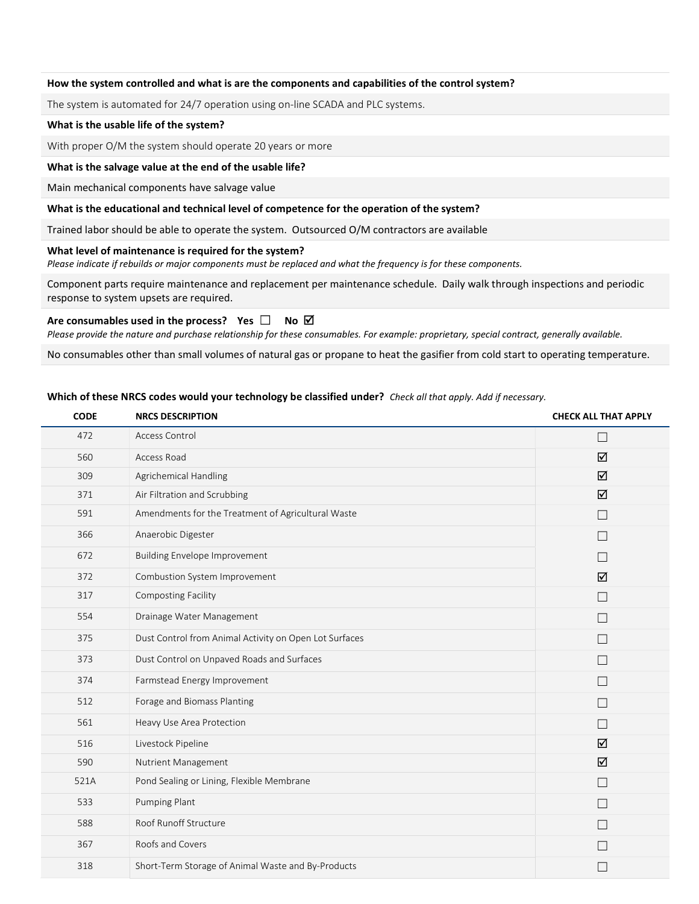#### How the system controlled and what is are the components and capabilities of the control system?

The system is automated for 24/7 operation using on-line SCADA and PLC systems.

## What is the usable life of the system?

With proper O/M the system should operate 20 years or more

#### What is the salvage value at the end of the usable life?

Main mechanical components have salvage value

## What is the educational and technical level of competence for the operation of the system?

Trained labor should be able to operate the system. Outsourced O/M contractors are available

## What level of maintenance is required for the system?

Please indicate if rebuilds or major components must be replaced and what the frequency is for these components.

Component parts require maintenance and replacement per maintenance schedule. Daily walk through inspections and periodic response to system upsets are required.

## Are consumables used in the process? Yes  $\square$  No  $\boxtimes$

Please provide the nature and purchase relationship for these consumables. For example: proprietary, special contract, generally available.

No consumables other than small volumes of natural gas or propane to heat the gasifier from cold start to operating temperature.

#### Which of these NRCS codes would your technology be classified under? Check all that apply. Add if necessary.

| <b>CODE</b> | <b>NRCS DESCRIPTION</b>                                | <b>CHECK ALL THAT APPLY</b> |
|-------------|--------------------------------------------------------|-----------------------------|
| 472         | Access Control                                         | $\overline{\phantom{a}}$    |
| 560         | Access Road                                            | ☑                           |
| 309         | Agrichemical Handling                                  | ☑                           |
| 371         | Air Filtration and Scrubbing                           | ☑                           |
| 591         | Amendments for the Treatment of Agricultural Waste     | П                           |
| 366         | Anaerobic Digester                                     | $\Box$                      |
| 672         | <b>Building Envelope Improvement</b>                   | $\mathbf{L}$                |
| 372         | Combustion System Improvement                          | ☑                           |
| 317         | Composting Facility                                    | $\Box$                      |
| 554         | Drainage Water Management                              | П                           |
| 375         | Dust Control from Animal Activity on Open Lot Surfaces | $\mathbf{L}$                |
| 373         | Dust Control on Unpaved Roads and Surfaces             | П                           |
| 374         | Farmstead Energy Improvement                           | $\Box$                      |
| 512         | Forage and Biomass Planting                            | $\mathbf{L}$                |
| 561         | Heavy Use Area Protection                              | $\Box$                      |
| 516         | Livestock Pipeline                                     | ☑                           |
| 590         | Nutrient Management                                    | ☑                           |
| 521A        | Pond Sealing or Lining, Flexible Membrane              | П                           |
| 533         | Pumping Plant                                          | $\mathbf{L}$                |
| 588         | Roof Runoff Structure                                  | $\mathbf{L}$                |
| 367         | Roofs and Covers                                       | $\mathbf{L}$                |
| 318         | Short-Term Storage of Animal Waste and By-Products     |                             |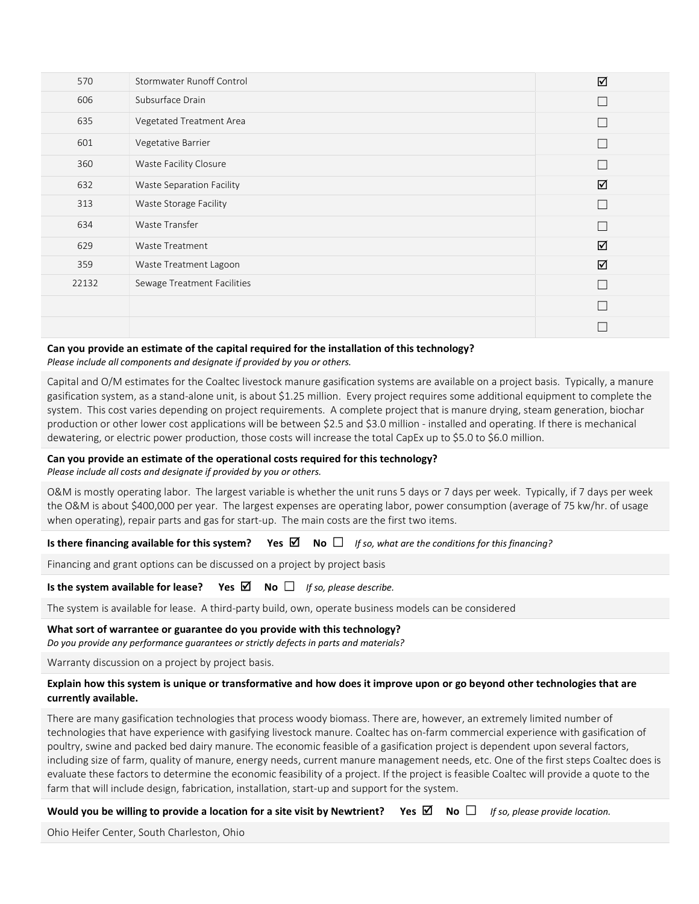| 570   | Stormwater Runoff Control   | ☑ |
|-------|-----------------------------|---|
| 606   | Subsurface Drain            |   |
| 635   | Vegetated Treatment Area    |   |
| 601   | Vegetative Barrier          |   |
| 360   | Waste Facility Closure      |   |
| 632   | Waste Separation Facility   | ☑ |
| 313   | Waste Storage Facility      | ┍ |
| 634   | Waste Transfer              | ┌ |
| 629   | Waste Treatment             | ☑ |
| 359   | Waste Treatment Lagoon      | ☑ |
| 22132 | Sewage Treatment Facilities | г |
|       |                             |   |
|       |                             |   |

# Can you provide an estimate of the capital required for the installation of this technology?

Please include all components and designate if provided by you or others.

Capital and O/M estimates for the Coaltec livestock manure gasification systems are available on a project basis. Typically, a manure gasification system, as a stand-alone unit, is about \$1.25 million. Every project requires some additional equipment to complete the system. This cost varies depending on project requirements. A complete project that is manure drying, steam generation, biochar production or other lower cost applications will be between \$2.5 and \$3.0 million - installed and operating. If there is mechanical dewatering, or electric power production, those costs will increase the total CapEx up to \$5.0 to \$6.0 million.

# Can you provide an estimate of the operational costs required for this technology?

Please include all costs and designate if provided by you or others.

O&M is mostly operating labor. The largest variable is whether the unit runs 5 days or 7 days per week. Typically, if 7 days per week the O&M is about \$400,000 per year. The largest expenses are operating labor, power consumption (average of 75 kw/hr. of usage when operating), repair parts and gas for start-up. The main costs are the first two items.

Is there financing available for this system? Yes  $\boxtimes$  No  $\Box$  If so, what are the conditions for this financing?

Financing and grant options can be discussed on a project by project basis

Is the system available for lease? Yes  $\boxtimes$  No  $\Box$  If so, please describe.

The system is available for lease. A third-party build, own, operate business models can be considered

#### What sort of warrantee or guarantee do you provide with this technology?

Do you provide any performance guarantees or strictly defects in parts and materials?

Warranty discussion on a project by project basis.

# Explain how this system is unique or transformative and how does it improve upon or go beyond other technologies that are currently available.

There are many gasification technologies that process woody biomass. There are, however, an extremely limited number of technologies that have experience with gasifying livestock manure. Coaltec has on-farm commercial experience with gasification of poultry, swine and packed bed dairy manure. The economic feasible of a gasification project is dependent upon several factors, including size of farm, quality of manure, energy needs, current manure management needs, etc. One of the first steps Coaltec does is evaluate these factors to determine the economic feasibility of a project. If the project is feasible Coaltec will provide a quote to the farm that will include design, fabrication, installation, start-up and support for the system.

Would you be willing to provide a location for a site visit by Newtrient? Yes  $\Box$  No  $\Box$  If so, please provide location.

Ohio Heifer Center, South Charleston, Ohio